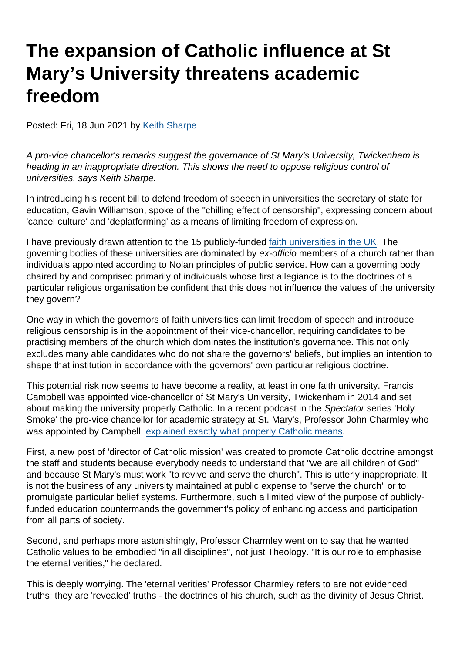## The expansion of Catholic influence at St Mary's University threatens academic freedom

Posted: Fri, 18 Jun 2021 by [Keith Sharpe](https://www.secularism.org.uk/opinion/authors/969)

A pro-vice chancellor's remarks suggest the governance of St Mary's University, Twickenham is heading in an inappropriate direction. This shows the need to oppose religious control of universities, says Keith Sharpe.

In introducing his recent bill to defend freedom of speech in universities the secretary of state for education, Gavin Williamson, spoke of the "chilling effect of censorship", expressing concern about 'cancel culture' and 'deplatforming' as a means of limiting freedom of expression.

I have previously drawn attention to the 15 publicly-funded [faith universities in the UK.](https://www.timeshighereducation.com/blog/faith-universities-are-anachronism) The governing bodies of these universities are dominated by ex-officio members of a church rather than individuals appointed according to Nolan principles of public service. How can a governing body chaired by and comprised primarily of individuals whose first allegiance is to the doctrines of a particular religious organisation be confident that this does not influence the values of the university they govern?

One way in which the governors of faith universities can limit freedom of speech and introduce religious censorship is in the appointment of their vice-chancellor, requiring candidates to be practising members of the church which dominates the institution's governance. This not only excludes many able candidates who do not share the governors' beliefs, but implies an intention to shape that institution in accordance with the governors' own particular religious doctrine.

This potential risk now seems to have become a reality, at least in one faith university. Francis Campbell was appointed vice-chancellor of St Mary's University, Twickenham in 2014 and set about making the university properly Catholic. In a recent podcast in the Spectator series 'Holy Smoke' the pro-vice chancellor for academic strategy at St. Mary's, Professor John Charmley who was appointed by Campbell, [explained exactly what properly Catholic means.](https://www.spectator.co.uk/podcast/the-magical-power-of-charisma-and-why-the-churches-are-ignoring-it)

First, a new post of 'director of Catholic mission' was created to promote Catholic doctrine amongst the staff and students because everybody needs to understand that "we are all children of God" and because St Mary's must work "to revive and serve the church". This is utterly inappropriate. It is not the business of any university maintained at public expense to "serve the church" or to promulgate particular belief systems. Furthermore, such a limited view of the purpose of publiclyfunded education countermands the government's policy of enhancing access and participation from all parts of society.

Second, and perhaps more astonishingly, Professor Charmley went on to say that he wanted Catholic values to be embodied "in all disciplines", not just Theology. "It is our role to emphasise the eternal verities," he declared.

This is deeply worrying. The 'eternal verities' Professor Charmley refers to are not evidenced truths; they are 'revealed' truths - the doctrines of his church, such as the divinity of Jesus Christ.